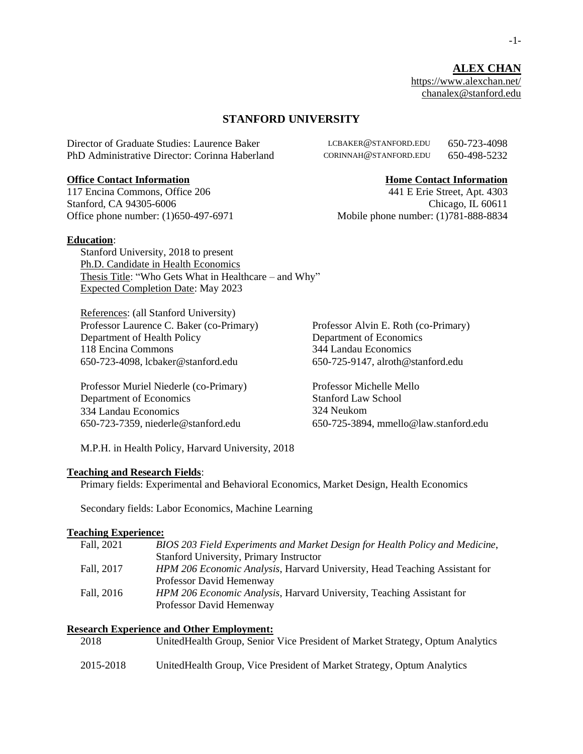**ALEX CHAN** <https://www.alexchan.net/> [chanalex@stanford.edu](mailto:chanalex@stanford.edu)

### **STANFORD UNIVERSITY**

Director of Graduate Studies: Laurence Baker LCBAKER@STANFORD.EDU 650-723-4098 PhD Administrative Director: Corinna Haberland CORINNAH@STANFORD.EDU 650-498-5232

#### **Office Contact Information 1986 Home Contact Information**

117 Encina Commons, Office 206 441 E Erie Street, Apt. 4303

### **Education**:

Stanford University, 2018 to present Ph.D. Candidate in Health Economics Thesis Title: "Who Gets What in Healthcare – and Why" Expected Completion Date: May 2023

References: (all Stanford University) Professor Laurence C. Baker (co-Primary) Department of Health Policy 118 Encina Commons<br>
650-723-4098, lcbaker@stanford.edu<br>
650-725-9147, alroth@stanford.edu 650-723-4098, lcbaker@stanford.edu

Professor Muriel Niederle (co-Primary) Professor Michelle Mello Department of Economics 334 Landau Economics

Stanford, CA 94305-6006 Chicago, IL 60611 Office phone number: (1)650-497-6971 Mobile phone number: (1)781-888-8834

> Professor Alvin E. Roth (co-Primary) Department of Economics

Stanford Law School 324 Neukom 650-723-7359, niederle@stanford.edu 650-725-3894, mmello@law.stanford.edu

M.P.H. in Health Policy, Harvard University, 2018

#### **Teaching and Research Fields**:

Primary fields: Experimental and Behavioral Economics, Market Design, Health Economics

Secondary fields: Labor Economics, Machine Learning

#### **Teaching Experience:**

| Fall, 2021 | BIOS 203 Field Experiments and Market Design for Health Policy and Medicine, |
|------------|------------------------------------------------------------------------------|
|            | Stanford University, Primary Instructor                                      |
| Fall, 2017 | HPM 206 Economic Analysis, Harvard University, Head Teaching Assistant for   |
|            | Professor David Hemenway                                                     |
| Fall, 2016 | HPM 206 Economic Analysis, Harvard University, Teaching Assistant for        |
|            | Professor David Hemenway                                                     |

# **Research Experience and Other Employment:**

| 2018      | United Health Group, Senior Vice President of Market Strategy, Optum Analytics |
|-----------|--------------------------------------------------------------------------------|
| 2015-2018 | United Health Group, Vice President of Market Strategy, Optum Analytics        |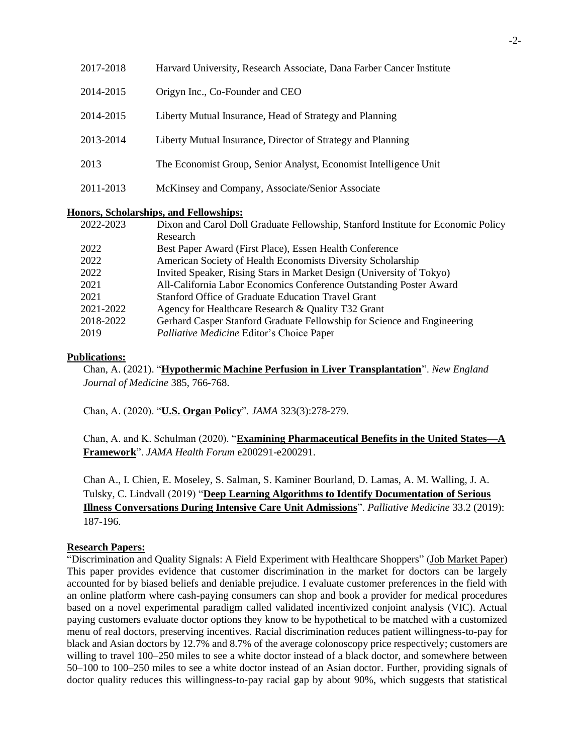| 2017-2018 | Harvard University, Research Associate, Dana Farber Cancer Institute |
|-----------|----------------------------------------------------------------------|
| 2014-2015 | Origyn Inc., Co-Founder and CEO                                      |
| 2014-2015 | Liberty Mutual Insurance, Head of Strategy and Planning              |
| 2013-2014 | Liberty Mutual Insurance, Director of Strategy and Planning          |
| 2013      | The Economist Group, Senior Analyst, Economist Intelligence Unit     |
| 2011-2013 | McKinsey and Company, Associate/Senior Associate                     |

#### **Honors, Scholarships, and Fellowships:**

| 2022-2023 | Dixon and Carol Doll Graduate Fellowship, Stanford Institute for Economic Policy |
|-----------|----------------------------------------------------------------------------------|
|           | Research                                                                         |
| 2022      | Best Paper Award (First Place), Essen Health Conference                          |
| 2022      | American Society of Health Economists Diversity Scholarship                      |
| 2022      | Invited Speaker, Rising Stars in Market Design (University of Tokyo)             |
| 2021      | All-California Labor Economics Conference Outstanding Poster Award               |
| 2021      | Stanford Office of Graduate Education Travel Grant                               |
| 2021-2022 | Agency for Healthcare Research & Quality T32 Grant                               |
| 2018-2022 | Gerhard Casper Stanford Graduate Fellowship for Science and Engineering          |
| 2019      | Palliative Medicine Editor's Choice Paper                                        |

## **Publications:**

Chan, A. (2021). "**[Hypothermic Machine Perfusion in Liver Transplantation](https://www.nejm.org/doi/full/10.1056/NEJMc2108879)**". *New England Journal of Medicine* 385, 766-768.

Chan, A. (2020). "**[U.S. Organ Policy](https://jamanetwork.com/journals/jama/article-abstract/2758996)**". *JAMA* 323(3):278-279.

Chan, A. and K. Schulman (2020). "**[Examining Pharmaceutical Benefits in the United States—A](https://jamanetwork.com/journals/jama-health-forum/fullarticle/2763175)  [Framework](https://jamanetwork.com/journals/jama-health-forum/fullarticle/2763175)**". *JAMA Health Forum* e200291-e200291.

Chan A., I. Chien, E. Moseley, S. Salman, S. Kaminer Bourland, D. Lamas, A. M. Walling, J. A. Tulsky, C. Lindvall (2019) "**[Deep Learning Algorithms to Identify Documentation of Serious](https://journals.sagepub.com/doi/abs/10.1177/0269216318810421)  [Illness Conversations During Intensive Care Unit Admissions](https://journals.sagepub.com/doi/abs/10.1177/0269216318810421)**". *Palliative Medicine* 33.2 (2019): 187-196.

# **Research Papers:**

"Discrimination and Quality Signals: A Field Experiment with Healthcare Shoppers" (Job Market Paper) This paper provides evidence that customer discrimination in the market for doctors can be largely accounted for by biased beliefs and deniable prejudice. I evaluate customer preferences in the field with an online platform where cash-paying consumers can shop and book a provider for medical procedures based on a novel experimental paradigm called validated incentivized conjoint analysis (VIC). Actual paying customers evaluate doctor options they know to be hypothetical to be matched with a customized menu of real doctors, preserving incentives. Racial discrimination reduces patient willingness-to-pay for black and Asian doctors by 12.7% and 8.7% of the average colonoscopy price respectively; customers are willing to travel 100–250 miles to see a white doctor instead of a black doctor, and somewhere between 50–100 to 100–250 miles to see a white doctor instead of an Asian doctor. Further, providing signals of doctor quality reduces this willingness-to-pay racial gap by about 90%, which suggests that statistical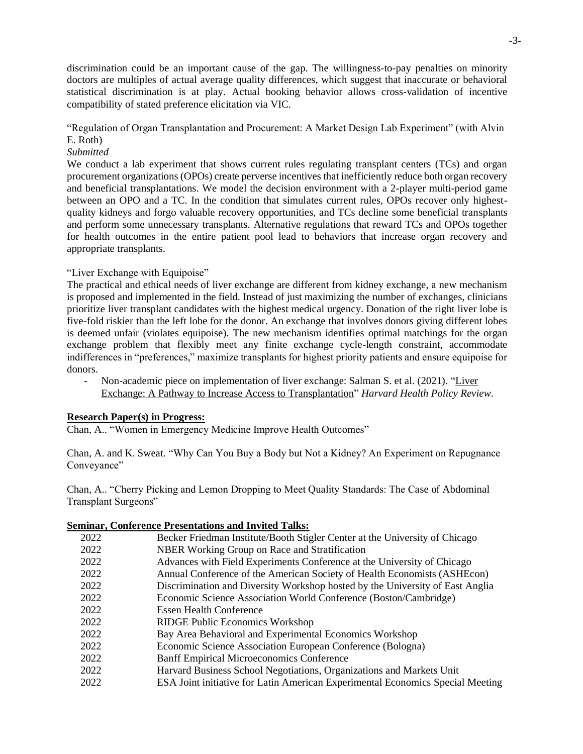discrimination could be an important cause of the gap. The willingness-to-pay penalties on minority doctors are multiples of actual average quality differences, which suggest that inaccurate or behavioral statistical discrimination is at play. Actual booking behavior allows cross-validation of incentive compatibility of stated preference elicitation via VIC.

### "Regulation of Organ Transplantation and Procurement: A Market Design Lab Experiment" (with Alvin E. Roth)

# *Submitted*

We conduct a lab experiment that shows current rules regulating transplant centers (TCs) and organ procurement organizations (OPOs) create perverse incentives that inefficiently reduce both organ recovery and beneficial transplantations. We model the decision environment with a 2-player multi-period game between an OPO and a TC. In the condition that simulates current rules, OPOs recover only highestquality kidneys and forgo valuable recovery opportunities, and TCs decline some beneficial transplants and perform some unnecessary transplants. Alternative regulations that reward TCs and OPOs together for health outcomes in the entire patient pool lead to behaviors that increase organ recovery and appropriate transplants.

# "Liver Exchange with Equipoise"

The practical and ethical needs of liver exchange are different from kidney exchange, a new mechanism is proposed and implemented in the field. Instead of just maximizing the number of exchanges, clinicians prioritize liver transplant candidates with the highest medical urgency. Donation of the right liver lobe is five-fold riskier than the left lobe for the donor. An exchange that involves donors giving different lobes is deemed unfair (violates equipoise). The new mechanism identifies optimal matchings for the organ exchange problem that flexibly meet any finite exchange cycle-length constraint, accommodate indifferences in "preferences," maximize transplants for highest priority patients and ensure equipoise for donors.

- Non-academic piece on implementation of liver exchange: Salman S. et al. (2021). ["Liver](http://www.hhpronline.org/articles/2021/1/14/liver-exchange-a-pathway-to-increase-access-to-transplantation)  [Exchange: A Pathway to Increase Access to Transplantation"](http://www.hhpronline.org/articles/2021/1/14/liver-exchange-a-pathway-to-increase-access-to-transplantation) *Harvard Health Policy Review*.

# **Research Paper(s) in Progress:**

Chan, A.. "Women in Emergency Medicine Improve Health Outcomes"

Chan, A. and K. Sweat. "Why Can You Buy a Body but Not a Kidney? An Experiment on Repugnance Conveyance"

Chan, A.. "Cherry Picking and Lemon Dropping to Meet Quality Standards: The Case of Abdominal Transplant Surgeons"

# **Seminar, Conference Presentations and Invited Talks:**

| 2022 | Becker Friedman Institute/Booth Stigler Center at the University of Chicago    |
|------|--------------------------------------------------------------------------------|
| 2022 | NBER Working Group on Race and Stratification                                  |
| 2022 | Advances with Field Experiments Conference at the University of Chicago        |
| 2022 | Annual Conference of the American Society of Health Economists (ASHEcon)       |
| 2022 | Discrimination and Diversity Workshop hosted by the University of East Anglia  |
| 2022 | Economic Science Association World Conference (Boston/Cambridge)               |
| 2022 | <b>Essen Health Conference</b>                                                 |
| 2022 | RIDGE Public Economics Workshop                                                |
| 2022 | Bay Area Behavioral and Experimental Economics Workshop                        |
| 2022 | Economic Science Association European Conference (Bologna)                     |
| 2022 | <b>Banff Empirical Microeconomics Conference</b>                               |
| 2022 | Harvard Business School Negotiations, Organizations and Markets Unit           |
| 2022 | ESA Joint initiative for Latin American Experimental Economics Special Meeting |